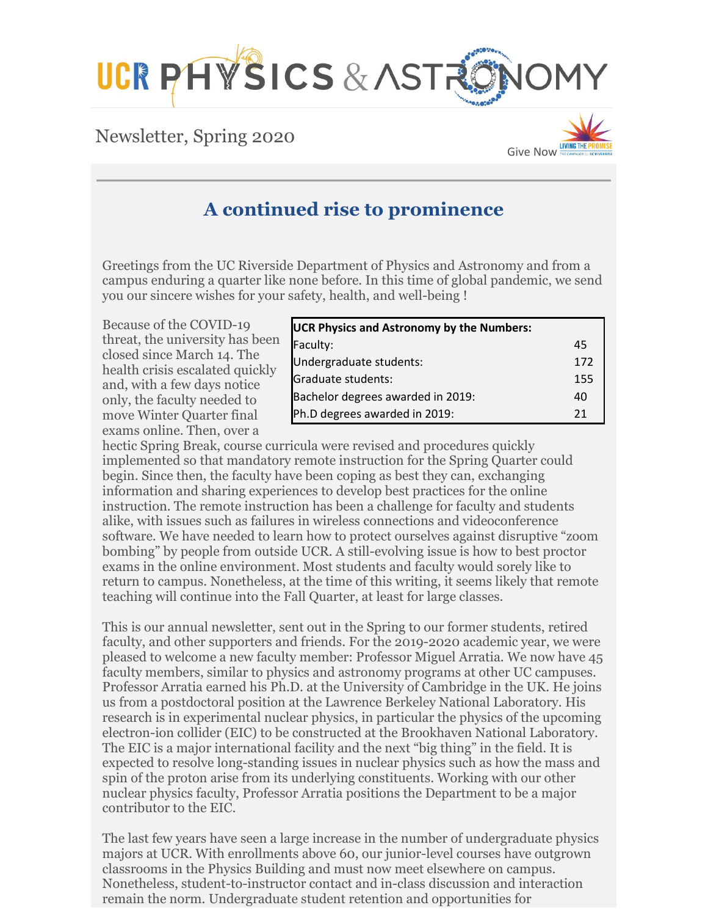

# Newsletter, Spring 2020



# **A continued rise to prominence**

Greetings from the UC Riverside Department of Physics and Astronomy and from a campus enduring a quarter like none before. In this time of global pandemic, we send you our sincere wishes for your safety, health, and well-being !

Because of the COVID-19 threat, the university has been closed since March 14. The health crisis escalated quickly and, with a few days notice only, the faculty needed to move Winter Quarter final exams online. Then, over a

| <b>UCR Physics and Astronomy by the Numbers:</b> |     |
|--------------------------------------------------|-----|
| Faculty:                                         | 45  |
| Undergraduate students:                          | 172 |
| Graduate students:                               | 155 |
| Bachelor degrees awarded in 2019:                | 40  |
| Ph.D degrees awarded in 2019:                    | 21  |

hectic Spring Break, course curricula were revised and procedures quickly implemented so that mandatory remote instruction for the Spring Quarter could begin. Since then, the faculty have been coping as best they can, exchanging information and sharing experiences to develop best practices for the online instruction. The remote instruction has been a challenge for faculty and students alike, with issues such as failures in wireless connections and videoconference software. We have needed to learn how to protect ourselves against disruptive "zoom bombing" by people from outside UCR. A still-evolving issue is how to best proctor exams in the online environment. Most students and faculty would sorely like to return to campus. Nonetheless, at the time of this writing, it seems likely that remote teaching will continue into the Fall Quarter, at least for large classes.

This is our annual newsletter, sent out in the Spring to our former students, retired faculty, and other supporters and friends. For the 2019-2020 academic year, we were pleased to welcome a new faculty member: Professor Miguel Arratia. We now have 45 faculty members, similar to physics and astronomy programs at other UC campuses. Professor Arratia earned his Ph.D. at the University of Cambridge in the UK. He joins us from a postdoctoral position at the Lawrence Berkeley National Laboratory. His research is in experimental nuclear physics, in particular the physics of the upcoming electron-ion collider (EIC) to be constructed at the Brookhaven National Laboratory. The EIC is a major international facility and the next "big thing" in the field. It is expected to resolve long-standing issues in nuclear physics such as how the mass and spin of the proton arise from its underlying constituents. Working with our other nuclear physics faculty, Professor Arratia positions the Department to be a major contributor to the EIC.

The last few years have seen a large increase in the number of undergraduate physics majors at UCR. With enrollments above 60, our junior-level courses have outgrown classrooms in the Physics Building and must now meet elsewhere on campus. Nonetheless, student-to-instructor contact and in-class discussion and interaction remain the norm. Undergraduate student retention and opportunities for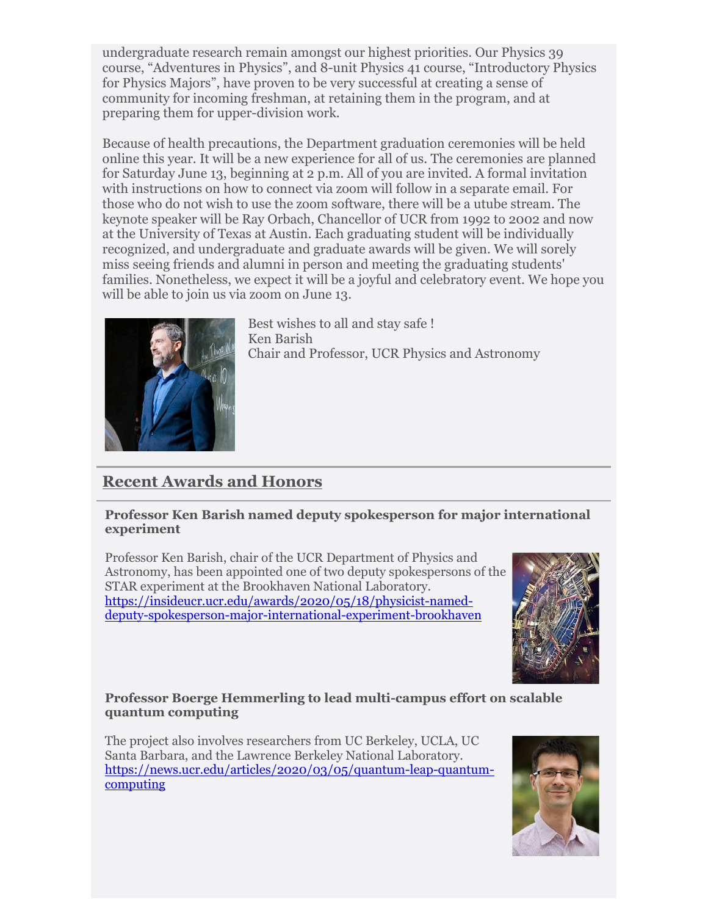undergraduate research remain amongst our highest priorities. Our Physics 39 course, "Adventures in Physics", and 8-unit Physics 41 course, "Introductory Physics for Physics Majors", have proven to be very successful at creating a sense of community for incoming freshman, at retaining them in the program, and at preparing them for upper-division work.

Because of health precautions, the Department graduation ceremonies will be held online this year. It will be a new experience for all of us. The ceremonies are planned for Saturday June 13, beginning at 2 p.m. All of you are invited. A formal invitation with instructions on how to connect via zoom will follow in a separate email. For those who do not wish to use the zoom software, there will be a utube stream. The keynote speaker will be Ray Orbach, Chancellor of UCR from 1992 to 2002 and now at the University of Texas at Austin. Each graduating student will be individually recognized, and undergraduate and graduate awards will be given. We will sorely miss seeing friends and alumni in person and meeting the graduating students' families. Nonetheless, we expect it will be a joyful and celebratory event. We hope you will be able to join us via zoom on June 13.



Best wishes to all and stay safe ! Ken Barish Chair and Professor, UCR Physics and Astronomy

# **Recent Awards and Honors**

#### **Professor Ken Barish named deputy spokesperson for major international experiment**

Professor Ken Barish, chair of the UCR Department of Physics and Astronomy, has been appointed one of two deputy spokespersons of the STAR experiment at the Brookhaven National Laboratory. [https://insideucr.ucr.edu/awards/2020/05/18/physicist-named](https://insideucr.ucr.edu/awards/2020/05/18/physicist-named-deputy-spokesperson-major-international-experiment-brookhaven)[deputy-spokesperson-major-international-experiment-brookhaven](https://insideucr.ucr.edu/awards/2020/05/18/physicist-named-deputy-spokesperson-major-international-experiment-brookhaven)



#### **Professor Boerge Hemmerling to lead multi-campus effort on scalable quantum computing**

The project also involves researchers from UC Berkeley, UCLA, UC Santa Barbara, and the Lawrence Berkeley National Laboratory. [https://news.ucr.edu/articles/2020/03/05/quantum-leap-quantum](https://news.ucr.edu/articles/2020/03/05/quantum-leap-quantum-computing)[computing](https://news.ucr.edu/articles/2020/03/05/quantum-leap-quantum-computing)

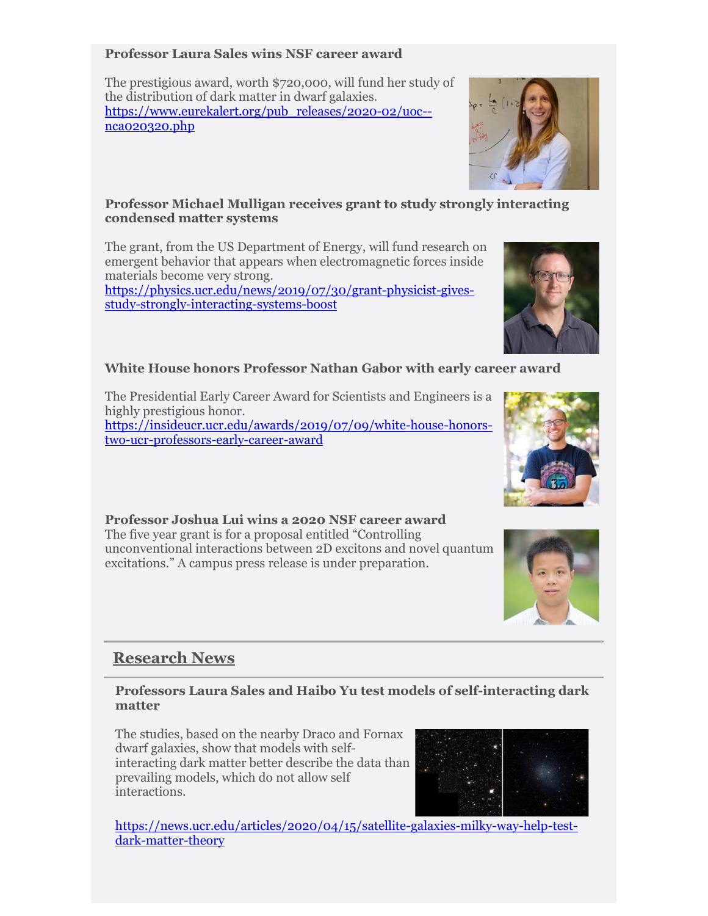#### **Professor Laura Sales wins NSF career award**

The prestigious award, worth \$720,000, will fund her study of the distribution of dark matter in dwarf galaxies. [https://www.eurekalert.org/pub\\_releases/2020-02/uoc-](https://www.eurekalert.org/pub_releases/2020-02/uoc--nca020320.php) [nca020320.php](https://www.eurekalert.org/pub_releases/2020-02/uoc--nca020320.php)

#### **Professor Michael Mulligan receives grant to study strongly interacting condensed matter systems**

The grant, from the US Department of Energy, will fund research on emergent behavior that appears when electromagnetic forces inside materials become very strong.

[https://physics.ucr.edu/news/2019/07/30/grant-physicist-gives](https://physics.ucr.edu/news/2019/07/30/grant-physicist-gives-study-strongly-interacting-systems-boost)[study-strongly-interacting-systems-boost](https://physics.ucr.edu/news/2019/07/30/grant-physicist-gives-study-strongly-interacting-systems-boost)

# **White House honors Professor Nathan Gabor with early career award**

The Presidential Early Career Award for Scientists and Engineers is a highly prestigious honor. [https://insideucr.ucr.edu/awards/2019/07/09/white-house-honors-](https://insideucr.ucr.edu/awards/2019/07/09/white-house-honors-two-ucr-professors-early-career-award)

[two-ucr-professors-early-career-award](https://insideucr.ucr.edu/awards/2019/07/09/white-house-honors-two-ucr-professors-early-career-award)

**Professor Joshua Lui wins a 2020 NSF career award** The five year grant is for a proposal entitled "Controlling unconventional interactions between 2D excitons and novel quantum excitations." A campus press release is under preparation.

# **Research News**

## **Professors Laura Sales and Haibo Yu test models of self-interacting dark matter**

The studies, based on the nearby Draco and Fornax dwarf galaxies, show that models with selfinteracting dark matter better describe the data than prevailing models, which do not allow self interactions.

[https://news.ucr.edu/articles/2020/04/15/satellite-galaxies-milky-way-help-test](https://news.ucr.edu/articles/2020/04/15/satellite-galaxies-milky-way-help-test-dark-matter-theory)[dark-matter-theory](https://news.ucr.edu/articles/2020/04/15/satellite-galaxies-milky-way-help-test-dark-matter-theory)







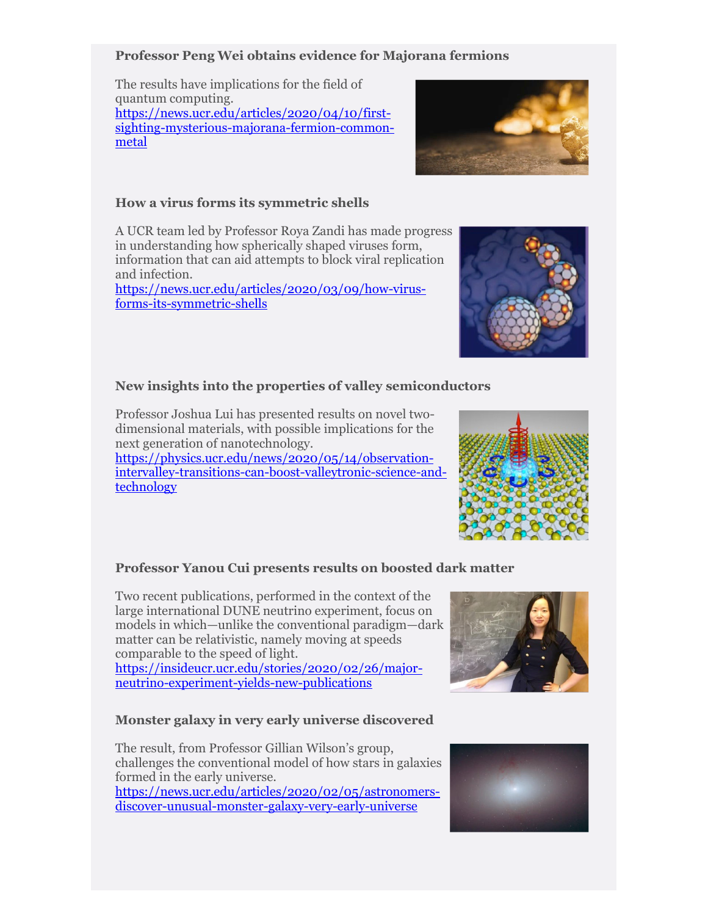#### **Professor Peng Wei obtains evidence for Majorana fermions**

The results have implications for the field of quantum computing. [https://news.ucr.edu/articles/2020/04/10/first](https://news.ucr.edu/articles/2020/04/10/first-sighting-mysterious-majorana-fermion-common-metal)[sighting-mysterious-majorana-fermion-common](https://news.ucr.edu/articles/2020/04/10/first-sighting-mysterious-majorana-fermion-common-metal)[metal](https://news.ucr.edu/articles/2020/04/10/first-sighting-mysterious-majorana-fermion-common-metal) 

#### **How a virus forms its symmetric shells**

A UCR team led by Professor Roya Zandi has made progress in understanding how spherically shaped viruses form, information that can aid attempts to block viral replication and infection.

[https://news.ucr.edu/articles/2020/03/09/how-virus](https://news.ucr.edu/articles/2020/03/09/how-virus-forms-its-symmetric-shells)[forms-its-symmetric-shells](https://news.ucr.edu/articles/2020/03/09/how-virus-forms-its-symmetric-shells)

#### **New insights into the properties of valley semiconductors**

Professor Joshua Lui has presented results on novel twodimensional materials, with possible implications for the next generation of nanotechnology.

[https://physics.ucr.edu/news/2020/05/14/observation](https://physics.ucr.edu/news/2020/05/14/observation-intervalley-transitions-can-boost-valleytronic-science-and-technology)[intervalley-transitions-can-boost-valleytronic-science-and](https://physics.ucr.edu/news/2020/05/14/observation-intervalley-transitions-can-boost-valleytronic-science-and-technology)[technology](https://physics.ucr.edu/news/2020/05/14/observation-intervalley-transitions-can-boost-valleytronic-science-and-technology)

#### **Professor Yanou Cui presents results on boosted dark matter**

Two recent publications, performed in the context of the large international DUNE neutrino experiment, focus on models in which—unlike the conventional paradigm—dark matter can be relativistic, namely moving at speeds comparable to the speed of light.

[https://insideucr.ucr.edu/stories/2020/02/26/major](https://insideucr.ucr.edu/stories/2020/02/26/major-neutrino-experiment-yields-new-publications)[neutrino-experiment-yields-new-publications](https://insideucr.ucr.edu/stories/2020/02/26/major-neutrino-experiment-yields-new-publications)

#### **Monster galaxy in very early universe discovered**

The result, from Professor Gillian Wilson's group, challenges the conventional model of how stars in galaxies formed in the early universe.

[https://news.ucr.edu/articles/2020/02/05/astronomers](https://news.ucr.edu/articles/2020/02/05/astronomers-discover-unusual-monster-galaxy-very-early-universe)[discover-unusual-monster-galaxy-very-early-universe](https://news.ucr.edu/articles/2020/02/05/astronomers-discover-unusual-monster-galaxy-very-early-universe)











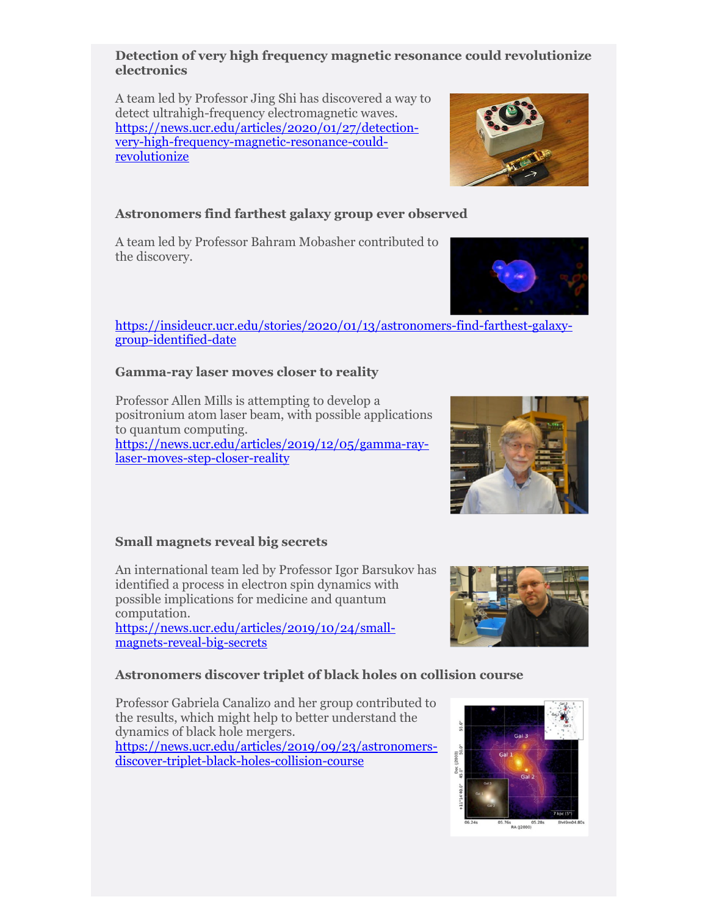#### **Detection of very high frequency magnetic resonance could revolutionize electronics**

A team led by Professor Jing Shi has discovered a way to detect ultrahigh-frequency electromagnetic waves. [https://news.ucr.edu/articles/2020/01/27/detection](https://news.ucr.edu/articles/2020/01/27/detection-very-high-frequency-magnetic-resonance-could-revolutionize)[very-high-frequency-magnetic-resonance-could](https://news.ucr.edu/articles/2020/01/27/detection-very-high-frequency-magnetic-resonance-could-revolutionize)[revolutionize](https://news.ucr.edu/articles/2020/01/27/detection-very-high-frequency-magnetic-resonance-could-revolutionize)

## **Astronomers find farthest galaxy group ever observed**

A team led by Professor Bahram Mobasher contributed to the discovery.

## [https://insideucr.ucr.edu/stories/2020/01/13/astronomers-find-farthest-galaxy](https://insideucr.ucr.edu/stories/2020/01/13/astronomers-find-farthest-galaxy-group-identified-date)[group-identified-date](https://insideucr.ucr.edu/stories/2020/01/13/astronomers-find-farthest-galaxy-group-identified-date)

## **Gamma-ray laser moves closer to reality**

Professor Allen Mills is attempting to develop a positronium atom laser beam, with possible applications to quantum computing. [https://news.ucr.edu/articles/2019/12/05/gamma-ray](https://news.ucr.edu/articles/2019/12/05/gamma-ray-laser-moves-step-closer-reality)[laser-moves-step-closer-reality](https://news.ucr.edu/articles/2019/12/05/gamma-ray-laser-moves-step-closer-reality)

## **Small magnets reveal big secrets**

An international team led by Professor Igor Barsukov has identified a process in electron spin dynamics with possible implications for medicine and quantum computation.

[https://news.ucr.edu/articles/2019/10/24/small](https://news.ucr.edu/articles/2019/10/24/small-magnets-reveal-big-secrets)[magnets-reveal-big-secrets](https://news.ucr.edu/articles/2019/10/24/small-magnets-reveal-big-secrets)

## **Astronomers discover triplet of black holes on collision course**

Professor Gabriela Canalizo and her group contributed to the results, which might help to better understand the dynamics of black hole mergers. [https://news.ucr.edu/articles/2019/09/23/astronomers](https://news.ucr.edu/articles/2019/09/23/astronomers-discover-triplet-black-holes-collision-course)[discover-triplet-black-holes-collision-course](https://news.ucr.edu/articles/2019/09/23/astronomers-discover-triplet-black-holes-collision-course)







**RA (12000)** 

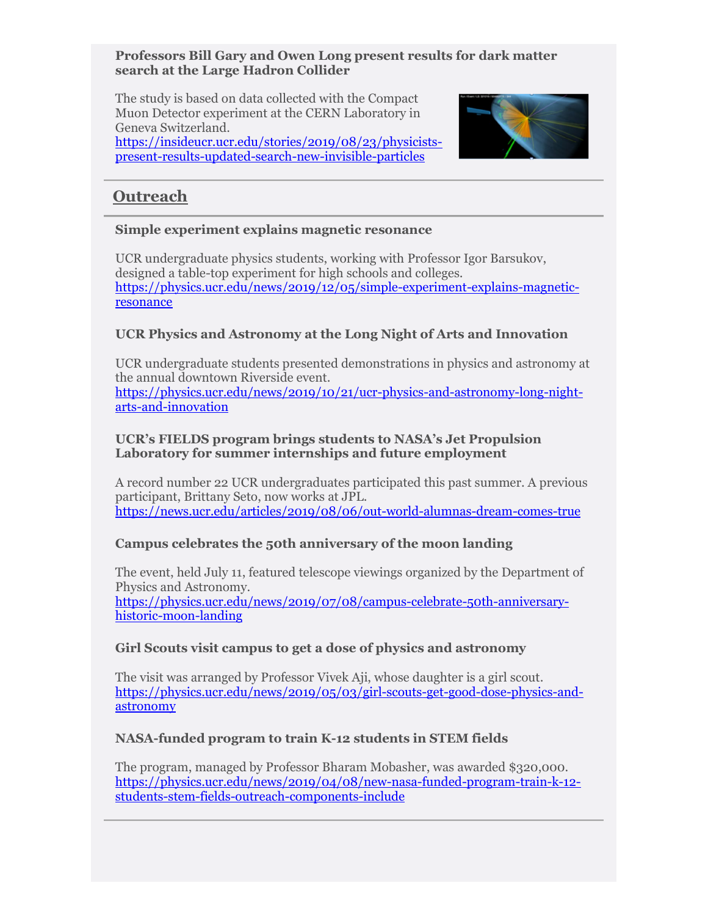#### **Professors Bill Gary and Owen Long present results for dark matter search at the Large Hadron Collider**

The study is based on data collected with the Compact Muon Detector experiment at the CERN Laboratory in Geneva Switzerland. [https://insideucr.ucr.edu/stories/2019/08/23/physicists](https://insideucr.ucr.edu/stories/2019/08/23/physicists-present-results-updated-search-new-invisible-particles)[present-results-updated-search-new-invisible-particles](https://insideucr.ucr.edu/stories/2019/08/23/physicists-present-results-updated-search-new-invisible-particles)



## **Outreach**

#### **Simple experiment explains magnetic resonance**

UCR undergraduate physics students, working with Professor Igor Barsukov, designed a table-top experiment for high schools and colleges. [https://physics.ucr.edu/news/2019/12/05/simple-experiment-explains-magnetic](https://physics.ucr.edu/news/2019/12/05/simple-experiment-explains-magnetic-resonance)[resonance](https://physics.ucr.edu/news/2019/12/05/simple-experiment-explains-magnetic-resonance)

## **UCR Physics and Astronomy at the Long Night of Arts and Innovation**

UCR undergraduate students presented demonstrations in physics and astronomy at the annual downtown Riverside event. [https://physics.ucr.edu/news/2019/10/21/ucr-physics-and-astronomy-long-night](https://physics.ucr.edu/news/2019/10/21/ucr-physics-and-astronomy-long-night-arts-and-innovation)[arts-and-innovation](https://physics.ucr.edu/news/2019/10/21/ucr-physics-and-astronomy-long-night-arts-and-innovation)

#### **UCR's FIELDS program brings students to NASA's Jet Propulsion Laboratory for summer internships and future employment**

A record number 22 UCR undergraduates participated this past summer. A previous participant, Brittany Seto, now works at JPL. <https://news.ucr.edu/articles/2019/08/06/out-world-alumnas-dream-comes-true>

## **Campus celebrates the 50th anniversary of the moon landing**

The event, held July 11, featured telescope viewings organized by the Department of Physics and Astronomy. [https://physics.ucr.edu/news/2019/07/08/campus-celebrate-50th-anniversary](https://physics.ucr.edu/news/2019/07/08/campus-celebrate-50th-anniversary-historic-moon-landing)[historic-moon-landing](https://physics.ucr.edu/news/2019/07/08/campus-celebrate-50th-anniversary-historic-moon-landing)

## **Girl Scouts visit campus to get a dose of physics and astronomy**

The visit was arranged by Professor Vivek Aji, whose daughter is a girl scout. [https://physics.ucr.edu/news/2019/05/03/girl-scouts-get-good-dose-physics-and](https://physics.ucr.edu/news/2019/05/03/girl-scouts-get-good-dose-physics-and-astronomy)[astronomy](https://physics.ucr.edu/news/2019/05/03/girl-scouts-get-good-dose-physics-and-astronomy)

## **NASA-funded program to train K-12 students in STEM fields**

The program, managed by Professor Bharam Mobasher, was awarded \$320,000. [https://physics.ucr.edu/news/2019/04/08/new-nasa-funded-program-train-k-12](https://physics.ucr.edu/news/2019/04/08/new-nasa-funded-program-train-k-12-students-stem-fields-outreach-components-include) [students-stem-fields-outreach-components-include](https://physics.ucr.edu/news/2019/04/08/new-nasa-funded-program-train-k-12-students-stem-fields-outreach-components-include)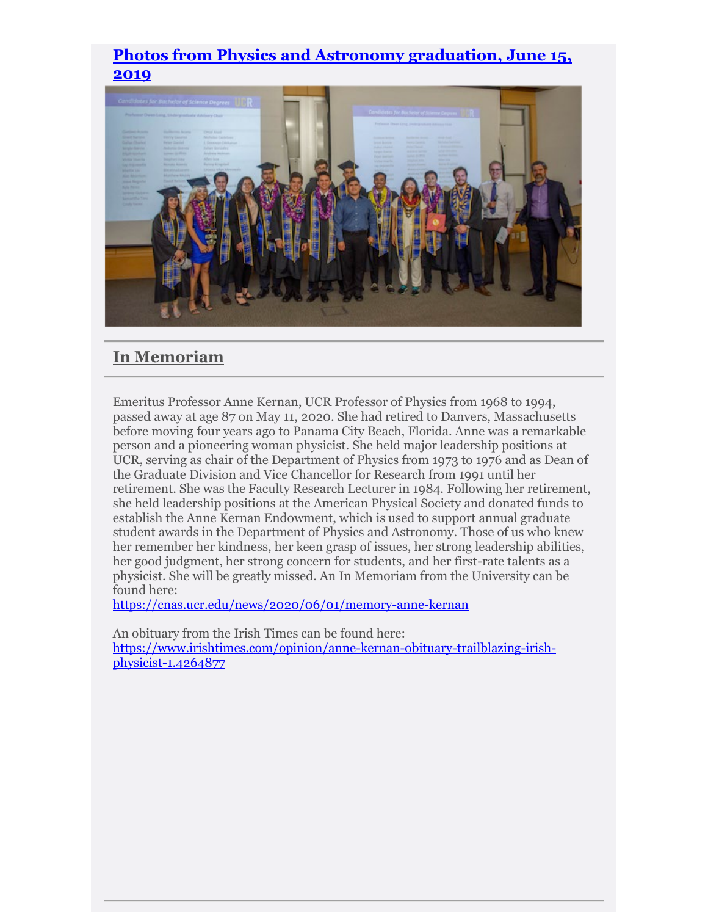## **[Photos from Physics and Astronomy graduation, June 15,](https://drive.google.com/drive/u/0/folders/1oSfRS6qP5CFIkjqxleFYpe_ieIeffKnq)  [2019](https://drive.google.com/drive/u/0/folders/1oSfRS6qP5CFIkjqxleFYpe_ieIeffKnq)**



## **In Memoriam**

Emeritus Professor Anne Kernan, UCR Professor of Physics from 1968 to 1994, passed away at age 87 on May 11, 2020. She had retired to Danvers, Massachusetts before moving four years ago to Panama City Beach, Florida. Anne was a remarkable person and a pioneering woman physicist. She held major leadership positions at UCR, serving as chair of the Department of Physics from 1973 to 1976 and as Dean of the Graduate Division and Vice Chancellor for Research from 1991 until her retirement. She was the Faculty Research Lecturer in 1984. Following her retirement, she held leadership positions at the American Physical Society and donated funds to establish the Anne Kernan Endowment, which is used to support annual graduate student awards in the Department of Physics and Astronomy. Those of us who knew her remember her kindness, her keen grasp of issues, her strong leadership abilities, her good judgment, her strong concern for students, and her first-rate talents as a physicist. She will be greatly missed. An In Memoriam from the University can be found here:

<https://cnas.ucr.edu/news/2020/06/01/memory-anne-kernan>

An obituary from the Irish Times can be found here: [https://www.irishtimes.com/opinion/anne-kernan-obituary-trailblazing-irish](https://www.irishtimes.com/opinion/anne-kernan-obituary-trailblazing-irish-physicist-1.4264877)[physicist-1.4264877](https://www.irishtimes.com/opinion/anne-kernan-obituary-trailblazing-irish-physicist-1.4264877)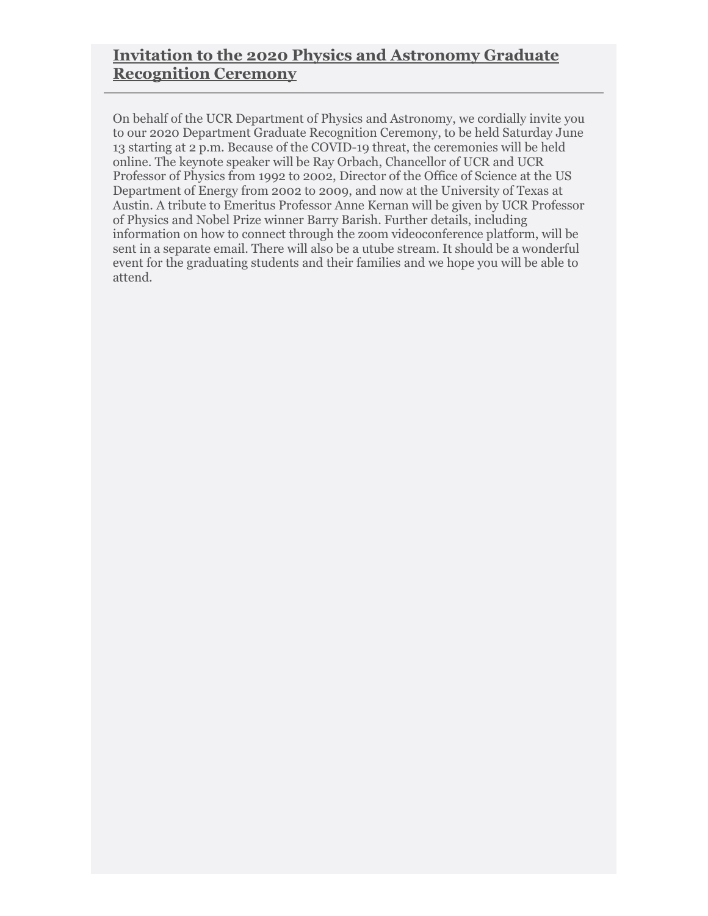# **Invitation to the 2020 Physics and Astronomy Graduate Recognition Ceremony**

On behalf of the UCR Department of Physics and Astronomy, we cordially invite you to our 2020 Department Graduate Recognition Ceremony, to be held Saturday June 13 starting at 2 p.m. Because of the COVID-19 threat, the ceremonies will be held online. The keynote speaker will be Ray Orbach, Chancellor of UCR and UCR Professor of Physics from 1992 to 2002, Director of the Office of Science at the US Department of Energy from 2002 to 2009, and now at the University of Texas at Austin. A tribute to Emeritus Professor Anne Kernan will be given by UCR Professor of Physics and Nobel Prize winner Barry Barish. Further details, including information on how to connect through the zoom videoconference platform, will be sent in a separate email. There will also be a utube stream. It should be a wonderful event for the graduating students and their families and we hope you will be able to attend.